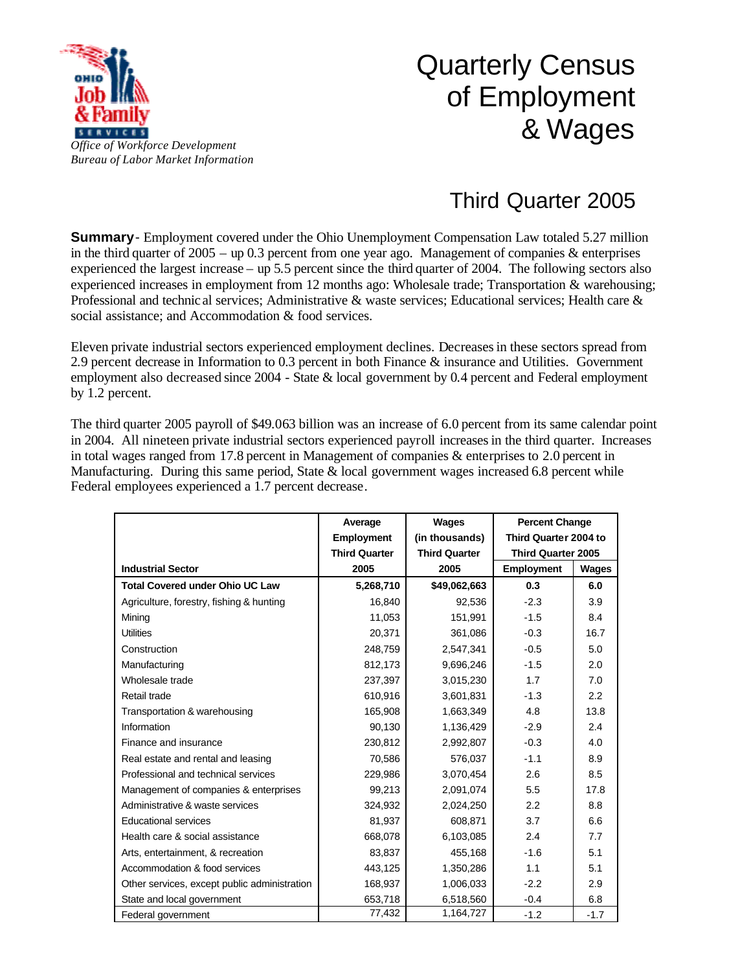

## Quarterly Census of Employment & Wages

## Third Quarter 2005

**Summary**- Employment covered under the Ohio Unemployment Compensation Law totaled 5.27 million in the third quarter of  $2005 - \text{up } 0.3$  percent from one year ago. Management of companies & enterprises experienced the largest increase – up 5.5 percent since the third quarter of 2004. The following sectors also experienced increases in employment from 12 months ago: Wholesale trade; Transportation & warehousing; Professional and technic al services; Administrative & waste services; Educational services; Health care & social assistance; and Accommodation & food services.

Eleven private industrial sectors experienced employment declines. Decreases in these sectors spread from 2.9 percent decrease in Information to 0.3 percent in both Finance & insurance and Utilities. Government employment also decreased since 2004 - State & local government by 0.4 percent and Federal employment by 1.2 percent.

The third quarter 2005 payroll of \$49.063 billion was an increase of 6.0 percent from its same calendar point in 2004. All nineteen private industrial sectors experienced payroll increases in the third quarter. Increases in total wages ranged from 17.8 percent in Management of companies & enterprises to 2.0 percent in Manufacturing. During this same period, State  $\&$  local government wages increased 6.8 percent while Federal employees experienced a 1.7 percent decrease.

|                                              | Average              | Wages                | <b>Percent Change</b>     |        |
|----------------------------------------------|----------------------|----------------------|---------------------------|--------|
|                                              | Employment           | (in thousands)       | Third Quarter 2004 to     |        |
|                                              | <b>Third Quarter</b> | <b>Third Quarter</b> | <b>Third Quarter 2005</b> |        |
| <b>Industrial Sector</b>                     | 2005                 | 2005                 | <b>Employment</b>         | Wages  |
| <b>Total Covered under Ohio UC Law</b>       | 5,268,710            | \$49,062,663         | 0.3                       | 6.0    |
| Agriculture, forestry, fishing & hunting     | 16,840               | 92,536               | $-2.3$                    | 3.9    |
| Mining                                       | 11,053               | 151,991              | $-1.5$                    | 8.4    |
| <b>Utilities</b>                             | 20,371               | 361,086              | $-0.3$                    | 16.7   |
| Construction                                 | 248,759              | 2,547,341            | $-0.5$                    | 5.0    |
| Manufacturing                                | 812,173              | 9,696,246            | $-1.5$                    | 2.0    |
| Wholesale trade                              | 237,397              | 3,015,230            | 1.7                       | 7.0    |
| Retail trade                                 | 610,916              | 3,601,831            | $-1.3$                    | 2.2    |
| Transportation & warehousing                 | 165,908              | 1,663,349            | 4.8                       | 13.8   |
| Information                                  | 90,130               | 1,136,429            | $-2.9$                    | 2.4    |
| Finance and insurance                        | 230,812              | 2,992,807            | $-0.3$                    | 4.0    |
| Real estate and rental and leasing           | 70,586               | 576,037              | $-1.1$                    | 8.9    |
| Professional and technical services          | 229,986              | 3,070,454            | 2.6                       | 8.5    |
| Management of companies & enterprises        | 99.213               | 2,091,074            | 5.5                       | 17.8   |
| Administrative & waste services              | 324,932              | 2,024,250            | 2.2                       | 8.8    |
| Educational services                         | 81,937               | 608,871              | 3.7                       | 6.6    |
| Health care & social assistance              | 668,078              | 6,103,085            | 2.4                       | 7.7    |
| Arts, entertainment, & recreation            | 83,837               | 455,168              | $-1.6$                    | 5.1    |
| Accommodation & food services                | 443,125              | 1,350,286            | 1.1                       | 5.1    |
| Other services, except public administration | 168,937              | 1,006,033            | $-2.2$                    | 2.9    |
| State and local government                   | 653,718              | 6,518,560            | $-0.4$                    | 6.8    |
| Federal government                           | 77,432               | 1,164,727            | $-1.2$                    | $-1.7$ |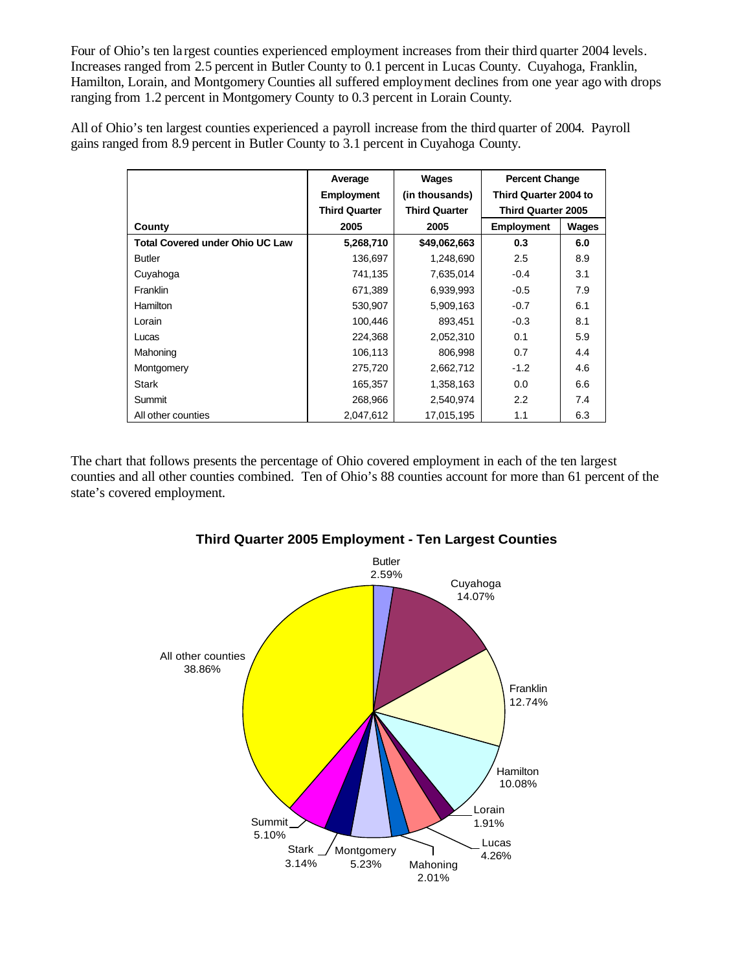Four of Ohio's ten largest counties experienced employment increases from their third quarter 2004 levels. Increases ranged from 2.5 percent in Butler County to 0.1 percent in Lucas County. Cuyahoga, Franklin, Hamilton, Lorain, and Montgomery Counties all suffered employment declines from one year ago with drops ranging from 1.2 percent in Montgomery County to 0.3 percent in Lorain County.

All of Ohio's ten largest counties experienced a payroll increase from the third quarter of 2004. Payroll gains ranged from 8.9 percent in Butler County to 3.1 percent in Cuyahoga County.

|                                        | Average              | Wages                | <b>Percent Change</b>     |              |
|----------------------------------------|----------------------|----------------------|---------------------------|--------------|
|                                        | <b>Employment</b>    | (in thousands)       | Third Quarter 2004 to     |              |
|                                        | <b>Third Quarter</b> | <b>Third Quarter</b> | <b>Third Quarter 2005</b> |              |
| County                                 | 2005                 | 2005                 | <b>Employment</b>         | <b>Wages</b> |
| <b>Total Covered under Ohio UC Law</b> | 5,268,710            | \$49,062,663         | 0.3                       | 6.0          |
| <b>Butler</b>                          | 136,697              | 1,248,690            | 2.5                       | 8.9          |
| Cuyahoga                               | 741,135              | 7,635,014            | $-0.4$                    | 3.1          |
| <b>Franklin</b>                        | 671,389              | 6,939,993            | $-0.5$                    | 7.9          |
| Hamilton                               | 530,907              | 5,909,163            | $-0.7$                    | 6.1          |
| Lorain                                 | 100,446              | 893,451              | $-0.3$                    | 8.1          |
| Lucas                                  | 224,368              | 2,052,310            | 0.1                       | 5.9          |
| Mahoning                               | 106,113              | 806,998              | 0.7                       | 4.4          |
| Montgomery                             | 275,720              | 2,662,712            | $-1.2$                    | 4.6          |
| Stark                                  | 165,357              | 1,358,163            | 0.0                       | 6.6          |
| Summit                                 | 268,966              | 2,540,974            | 2.2                       | 7.4          |
| All other counties                     | 2.047.612            | 17,015,195           | 1.1                       | 6.3          |

The chart that follows presents the percentage of Ohio covered employment in each of the ten largest counties and all other counties combined. Ten of Ohio's 88 counties account for more than 61 percent of the state's covered employment.



## **Third Quarter 2005 Employment - Ten Largest Counties**